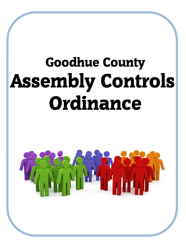# Goodhue County Assembly Controls Ordinance

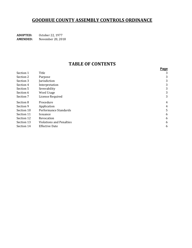## **GOODHUE COUNTY ASSEMBLY CONTROLS ORDINANCE**

October 22, 1977 **ADOPTED: AMENDED:** November 20, 2018

### **TABLE OF CONTENTS**

|                                 | Page |
|---------------------------------|------|
| Title                           | 3    |
| Purpose                         | 3    |
| Jurisdiction                    | 3    |
| Interpretation                  | 3    |
| Severability                    | 3    |
| Word Usage                      | 3    |
| License Required                | 3    |
| Procedure                       | 4    |
| Application                     | 4    |
| Performance Standards           | 5    |
| Issuance                        | 6    |
| Revocation                      | 6    |
| <b>Violations and Penalties</b> | 6    |
| <b>Effective Date</b>           | 6    |
|                                 |      |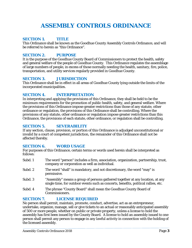## **ASSEMBLY CONTROLS ORDINANCE**

#### **SECTION 1. TITLE**

This Ordinance shall be known as the Goodhue County Assembly Controls Ordinance, and will be referred to herein as "this Ordinance".

#### **SECTION 2. PURPOSE**

It is the purpose of the Goodhue County Board of Commissioners to protect the health, safety and general welfare of the people of Goodhue County. This Ordinance regulates the assemblage of large numbers of people, in excess of those normally needing the health, sanitary, fire, police, transportation, and utility services regularly provided in Goodhue County.

#### **SECTION 3. JURISDICTION**

This Ordinance shall be in effect in all areas of Goodhue County lying outside the limits of the incorporated municipalities.

#### **SECTION 4. INTERPRETATION**

In interpreting and applying the provisions of this Ordinance, they shall be held to be the minimum requirements for the promotion of public health, safety, and general welfare. Where the provisions of this Ordinance impose greater restrictions than those of any statute, other ordinance or regulation, the provisions of this Ordinance shall be controlling. Where the provisions of any statute, other ordinance or regulation impose greater restrictions than this Ordinance, the provisions of each statute, other ordinance, or regulation shall be controlling.

#### **SECTION 5. SEVERABILITY**

If any section, clause, provision, or portion of this Ordinance is adjudged unconstitutional or invalid by a court of competent jurisdiction, the remainder of this Ordinance shall not be affected thereby.

#### **SECTION 6. WORD USAGE**

For purposes of this Ordinance, certain terms or words used herein shall be interpreted as follows:

- Subd. 1 The word "person" includes a firm, association, organization, partnership, trust, company or corporation as well as individual.
- Subd. 2 The word "shall" is mandatory, and not discretionary, the word "may" is permissive.
- Subd. 3 "Assembly" means a group of persons gathered together at any location, at any single time, for outdoor events such as concerts, benefits, political rallies, etc.
- Subd. 4 The phrase "County Board" shall mean the Goodhue County Board of Commissioners.

#### **SECTION 7. LICENSE REQUIRED**

No person shall permit, maintain, promote, conduct, advertise, act as an entrepreneur, undertake, organize, manage, sell or give tickets to an actual or reasonably anticipated assembly of 500 or more people, whether on public or private property, unless a license to hold the assembly has first been issued by the County Board. A license to hold an assembly issued to one person shall permit any person to engage in any lawful activity in connection with the holding of the licensed assembly.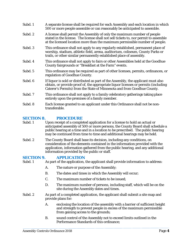| Subd. 1 | A separate license shall be required for each Assembly and each location in which<br>500 or more people assemble or can reasonably be anticipated to assemble.                                                                                     |
|---------|----------------------------------------------------------------------------------------------------------------------------------------------------------------------------------------------------------------------------------------------------|
| Subd. 2 | A license shall permit the Assembly of only the maximum number of people<br>stated in the license. The license shall not sell tickets to, nor permit to assemble<br>at the licensed location more than the maximum permissible number of people.   |
| Subd. 3 | This ordinance shall not apply to any regularly established, permanent place of<br>worship, stadium, athletic field, arena, auditorium, coliseum, County Parks or<br>trails, or other similar permanently established place of assembly.           |
| Subd. 4 | This ordinance shall not apply to fairs or other Assemblies held at the Goodhue<br>County fairgrounds or "Breakfast at the Farm" events.                                                                                                           |
| Subd. 5 | This ordinance may be required as part of other licenses, permits, ordinances, or<br>regulation of Goodhue County.                                                                                                                                 |
| Subd. 6 | If liquor is sold or distributed as part of the Assembly, the applicant must also<br>obtain, or provide proof of, the appropriate liquor licenses or permits (including<br>Caterer's Permits) from the State of Minnesota and from Goodhue County. |
| Subd. 7 | This ordinance shall not apply to a family celebratory gatherings taking place<br>entirely upon the premises of a family member.                                                                                                                   |
| Subd. 8 | Each license granted to an applicant under this Ordinance shall not be non-<br>transferable.                                                                                                                                                       |

# **SECTION 8. PROCEDURE**<br>Subd. 1 Upon receipt of a comple

- Upon receipt of a completed application for a license to hold an actual or anticipated assembly of 500 or more persons, the County Board shall schedule a public hearing at a time and in a location to be prescribed. The public hearing may be continued from time to time and additional hearings may be held.
- Subd. 2 The County Board shall base its decision, including any conditions, on consideration of the elements contained in the information provided with the application, information gathered from the public hearing, and any additional information provided by the public or staff.

#### **SECTION 9. APPLICATION**

Subd. 1 As part of the application, the applicant shall provide information to address:

- A. The nature or purpose of the Assembly;
- B. The dates and times in which the Assembly will occur;
- C. The maximum number of tickets to be issued;
- D. The maximum number of persons, including staff, which will be on the site during the Assembly dates and times.
- Subd. 2 As part of a completed application, the applicant shall submit a site map and provide plans for:
	- A. enclosing the location of the assembly with a barrier of sufficient height and strength to prevent people in excess of the maximum permissible from gaining access to the grounds;
	- B. sound control of the Assembly not to exceed limits outlined in the Performance Standards of this ordinance;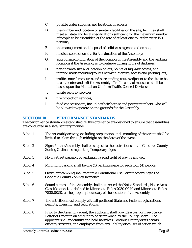- C. potable water supplies and locations of access;
- D. the number and location of sanitary facilities on the site; facilities shall meet all state and local specifications sufficient for the maximum number of people to be assembled at the rate of at least one toilet for every 150 persons;
- E. the management and disposal of solid waste generated on site;
- F. medical services on site for the duration of the Assembly;
- G. appropriate illumination of the location of the Assembly and the parking locations if the Assembly is to continue during hours of darkness;
- H. parking area size and location of lots, points of highway access, and interior roads including routes between highway access and parking lots;
- I. traffic control measures and surrounding routes adjacent to the site to be used to enter and exit the Assembly. Traffic control measures shall be based upon the Manual on Uniform Traffic Control Devices;
- J. onsite security services;
- K. fire protection services;
- L. food concessioners, including their license and permit numbers, who will be allowed to operate on the grounds for the Assembly;

#### **SECTION 10. PERFORMANCE STANDARDS**

The performance standards established by this ordinance are designed to ensure that assemblies are conducted in a safe, sanitary manner.

| Subd. 1 | The Assembly activity, excluding preparation or dismantling of the event, shall be<br>limited to 10am through midnight on the dates of the event.                                                                                                                                                                        |
|---------|--------------------------------------------------------------------------------------------------------------------------------------------------------------------------------------------------------------------------------------------------------------------------------------------------------------------------|
| Subd. 2 | Signs for the Assembly shall be subject to the restrictions in the Goodhue County<br>Zoning Ordinance regulating Temporary signs.                                                                                                                                                                                        |
| Subd. 3 | No on-street parking, or parking in a road right of way, is allowed.                                                                                                                                                                                                                                                     |
| Subd. 4 | Minimum parking shall be one (1) parking space for each four (4) people.                                                                                                                                                                                                                                                 |
| Subd. 5 | Overnight camping shall require a Conditional Use Permit according to the<br><b>Goodhue County Zoning Ordinance.</b>                                                                                                                                                                                                     |
| Subd. 6 | Sound control of the Assembly shall not exceed the Noise Standards, Noise Area<br>Classification 1, as defined in Minnesota Rules 7030.0040 and Minnesota Rules<br>7030.0050, at the property boundary of the location of the Assembly.                                                                                  |
| Subd. 7 | The activities must comply with all pertinent State and Federal registrations,<br>permits, licensing, and regulations.                                                                                                                                                                                                   |
| Subd. 8 | Prior to the Assembly event, the applicant shall provide a cash or irrevocable<br>Letter of Credit in an amount to be determined by the County Board. The<br>applicant shall indemnify and hold harmless Goodhue County or its agents,<br>officers, servants, and employees from any liability or causes of action which |